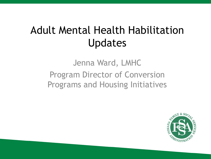# Adult Mental Health Habilitation Updates

#### Jenna Ward, LMHC Program Director of Conversion Programs and Housing Initiatives

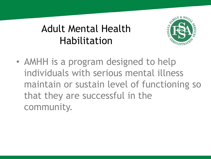## Adult Mental Health Habilitation



• AMHH is a program designed to help individuals with serious mental illness maintain or sustain level of functioning so that they are successful in the community.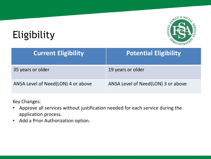# Eligibility



| <b>Current Eligibility</b>         | <b>Potential Eligibility</b>       |
|------------------------------------|------------------------------------|
| 35 years or older                  | 19 years or older                  |
| ANSA Level of Need(LON) 4 or above | ANSA Level of Need(LON) 3 or above |

Key Changes:

- Approve all services without justification needed for each service during the application process.
- Add a Prior Authorization option.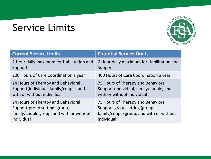# Service Limits



| <b>Current Service Limits</b>             | <b>Potential Service Limits</b>           |
|-------------------------------------------|-------------------------------------------|
| 2 Hour daily maximum for Habilitation and | 6 Hour daily maximum for Habilitation and |
| Support                                   | Support                                   |
| 200 Hours of Care Coordination a year     | 400 Hours of Care Coordination a year     |
| 24 Hours of Therapy and Behavioral        | 75 Hours of Therapy and Behavioral        |
| Support(individual, family/couple, and    | Support (individual, family/couple, and   |
| with or without individual                | with or without individual                |
| 24 Hours of Therapy and Behavioral        | 75 Hours of Therapy and Behavioral        |
| Support-group setting (group,             | Support-group setting (group,             |
| family/couple group, and with or without  | family/couple group, and with or without  |
| individual                                | individual                                |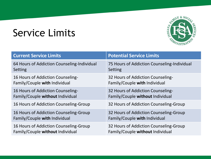### Service Limits



| <b>Current Service Limits</b>               | <b>Potential Service Limits</b>             |
|---------------------------------------------|---------------------------------------------|
| 64 Hours of Addiction Counseling-Individual | 75 Hours of Addiction Counseling-Individual |
| Setting                                     | Setting                                     |
| 16 Hours of Addiction Counseling-           | 32 Hours of Addiction Counseling-           |
| Family/Couple with Individual               | Family/Couple with Individual               |
| 16 Hours of Addiction Counseling-           | 32 Hours of Addiction Counseling-           |
| Family/Couple without Individual            | Family/Couple without Individual            |
| 16 Hours of Addiction Counseling-Group      | 32 Hours of Addiction Counseling-Group      |
| 16 Hours of Addiction Counseling-Group      | 32 Hours of Addiction Counseling-Group      |
| Family/Couple with Individual               | Family/Couple with Individual               |
| 16 Hours of Addiction Counseling-Group      | 32 Hours of Addiction Counseling-Group      |
| Family/Couple without Individual            | Family/Couple without Individual            |